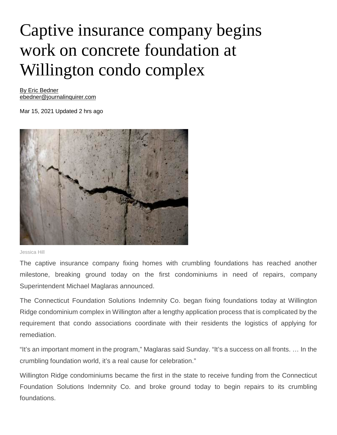## Captive insurance company begins work on concrete foundation at Willington condo complex

[By Eric Bedner](https://www.journalinquirer.com/users/profile/Eric%20Bedner%20JI) [ebedner@journalinquirer.com](https://www.journalinquirer.com/users/profile/Eric%20Bedner%20JI)

Mar 15, 2021 Updated 2 hrs ago



Jessica Hill

The captive insurance company fixing homes with crumbling foundations has reached another milestone, breaking ground today on the first condominiums in need of repairs, company Superintendent Michael Maglaras announced.

The Connecticut Foundation Solutions Indemnity Co. began fixing foundations today at Willington Ridge condominium complex in Willington after a lengthy application process that is complicated by the requirement that condo associations coordinate with their residents the logistics of applying for remediation.

"It's an important moment in the program," Maglaras said Sunday. "It's a success on all fronts. … In the crumbling foundation world, it's a real cause for celebration."

Willington Ridge condominiums became the first in the state to receive funding from the Connecticut Foundation Solutions Indemnity Co. and broke ground today to begin repairs to its crumbling foundations.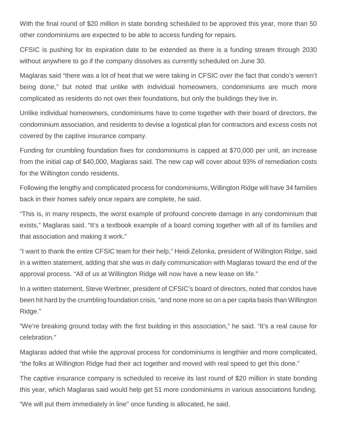With the final round of \$20 million in state bonding scheduled to be approved this year, more than 50 other condominiums are expected to be able to access funding for repairs.

CFSIC is pushing for its expiration date to be extended as there is a funding stream through 2030 without anywhere to go if the company dissolves as currently scheduled on June 30.

Maglaras said "there was a lot of heat that we were taking in CFSIC over the fact that condo's weren't being done," but noted that unlike with individual homeowners, condominiums are much more complicated as residents do not own their foundations, but only the buildings they live in.

Unlike individual homeowners, condominiums have to come together with their board of directors, the condominium association, and residents to devise a logistical plan for contractors and excess costs not covered by the captive insurance company.

Funding for crumbling foundation fixes for condominiums is capped at \$70,000 per unit, an increase from the initial cap of \$40,000, Maglaras said. The new cap will cover about 93% of remediation costs for the Willington condo residents.

Following the lengthy and complicated process for condominiums, Willington Ridge will have 34 families back in their homes safely once repairs are complete, he said.

"This is, in many respects, the worst example of profound concrete damage in any condominium that exists," Maglaras said. "It's a textbook example of a board coming together with all of its families and that association and making it work."

"I want to thank the entire CFSIC team for their help," Heidi Zelonka, president of Willington Ridge, said in a written statement, adding that she was in daily communication with Maglaras toward the end of the approval process. "All of us at Willington Ridge will now have a new lease on life."

In a written statement, Steve Werbner, president of CFSIC's board of directors, noted that condos have been hit hard by the crumbling foundation crisis, "and none more so on a per capita basis than Willington Ridge."

"We're breaking ground today with the first building in this association," he said. "It's a real cause for celebration."

Maglaras added that while the approval process for condominiums is lengthier and more complicated, "the folks at Willington Ridge had their act together and moved with real speed to get this done."

The captive insurance company is scheduled to receive its last round of \$20 million in state bonding this year, which Maglaras said would help get 51 more condominiums in various associations funding.

"We will put them immediately in line" once funding is allocated, he said.